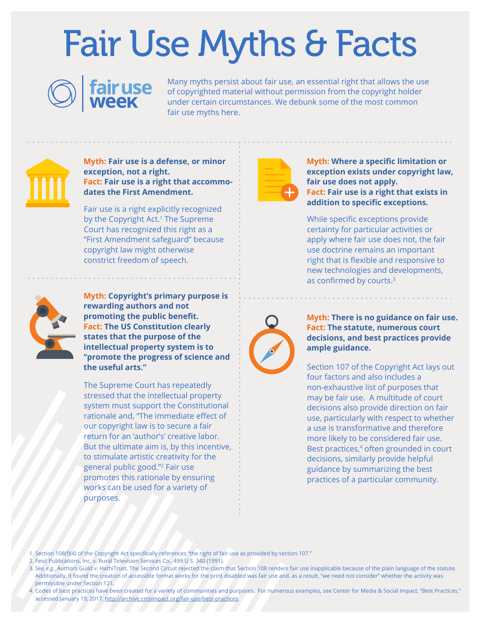## Fair Use Myths & Facts



Many myths persist about fair use, an essential right that allows the use of copyrighted material without permission from the copyright holder under certain circumstances. We debunk some of the most common fair use myths here.



**Myth: Fair use is a defense, or minor exception, not a right. Fact: Fair use is a right that accommodates the First Amendment.**

Fair use is a right explicitly recognized by the Copyright Act.<sup>1</sup> The Supreme Court has recognized this right as a "First Amendment safeguard" because copyright law might otherwise constrict freedom of speech.



**Myth: Copyright's primary purpose is rewarding authors and not promoting the public benefit. Fact: The US Constitution clearly states that the purpose of the intellectual property system is to "promote the progress of science and the useful arts."**

The Supreme Court has repeatedly stressed that the intellectual property system must support the Constitutional rationale and, "The immediate effect of our copyright law is to secure a fair return for an 'author's' creative labor. But the ultimate aim is, by this incentive, to stimulate artistic creativity for the general public good."2 Fair use promotes this rationale by ensuring works can be used for a variety of purposes.



**Myth: Where a specific limitation or exception exists under copyright law, fair use does not apply. Fact: Fair use is a right that exists in addition to specific exceptions.**

While specific exceptions provide certainty for particular activities or apply where fair use does not, the fair use doctrine remains an important right that is flexible and responsive to new technologies and developments, as confirmed by courts.<sup>3</sup>



**Myth: There is no guidance on fair use. Fact: The statute, numerous court decisions, and best practices provide ample guidance.**

Section 107 of the Copyright Act lays out four factors and also includes a non-exhaustive list of purposes that may be fair use. A multitude of court decisions also provide direction on fair use, particularly with respect to whether a use is transformative and therefore more likely to be considered fair use. Best practices,<sup>4</sup> often grounded in court decisions, similarly provide helpful guidance by summarizing the best practices of a particular community.

1. Section 108(f)(4) of the Copyright Act specifically references "the right of fair use as provided by section 107."

- 2. Feist Publications, Inc. v. Rural Television Services Co., 499 U.S. 340 (1991).
- 3. *See, e.g.,* Authors Guild v. HathiTrust. The Second Circuit rejected the claim that Section 108 renders fair use inapplicable because of the plain language of the statute. Additionally, it found the creation of accessible format works for the print disabled was fair use and, as a result, "we need not consider" whether the activity was permissible under Section 121.
- 4. Codes of best practices have been created for a variety of communities and purposes. For numerous examples, see Center for Media & Social Impact, "Best Practices," accessed January 19, 2017, <http://archive.cmsimpact.org/fair-use/best-practices>.